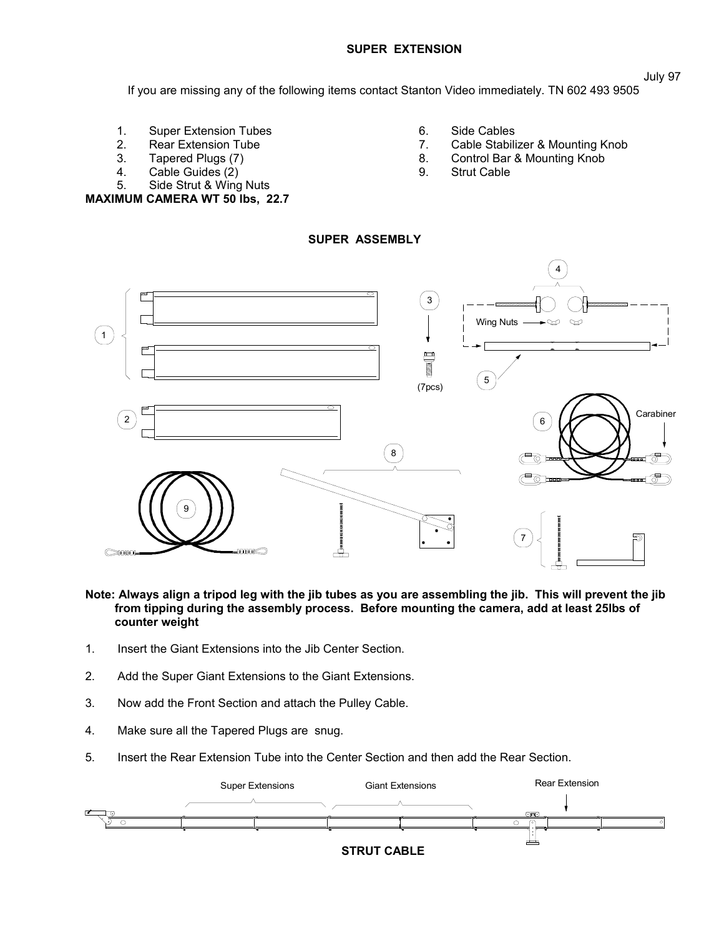## **SUPER EXTENSION**

If you are missing any of the following items contact Stanton Video immediately. TN 602 493 9505

- 1. Super Extension Tubes<br>2. Rear Extension Tube
- **Rear Extension Tube**
- 3. Tapered Plugs (7)
- 4. Cable Guides (2)
- 5. Side Strut & Wing Nuts **MAXIMUM CAMERA WT 50 lbs, 22.7**
- 6. Side Cables<br>7. Cable Stabili
- Cable Stabilizer & Mounting Knob
- 8. Control Bar & Mounting Knob
- 9. Strut Cable



## **Note: Always align a tripod leg with the jib tubes as you are assembling the jib. This will prevent the jib from tipping during the assembly process. Before mounting the camera, add at least 25lbs of counter weight**

- 1. Insert the Giant Extensions into the Jib Center Section.
- 2. Add the Super Giant Extensions to the Giant Extensions.
- 3. Now add the Front Section and attach the Pulley Cable.
- 4. Make sure all the Tapered Plugs are snug.
- 5. Insert the Rear Extension Tube into the Center Section and then add the Rear Section.



# **SUPER ASSEMBLY**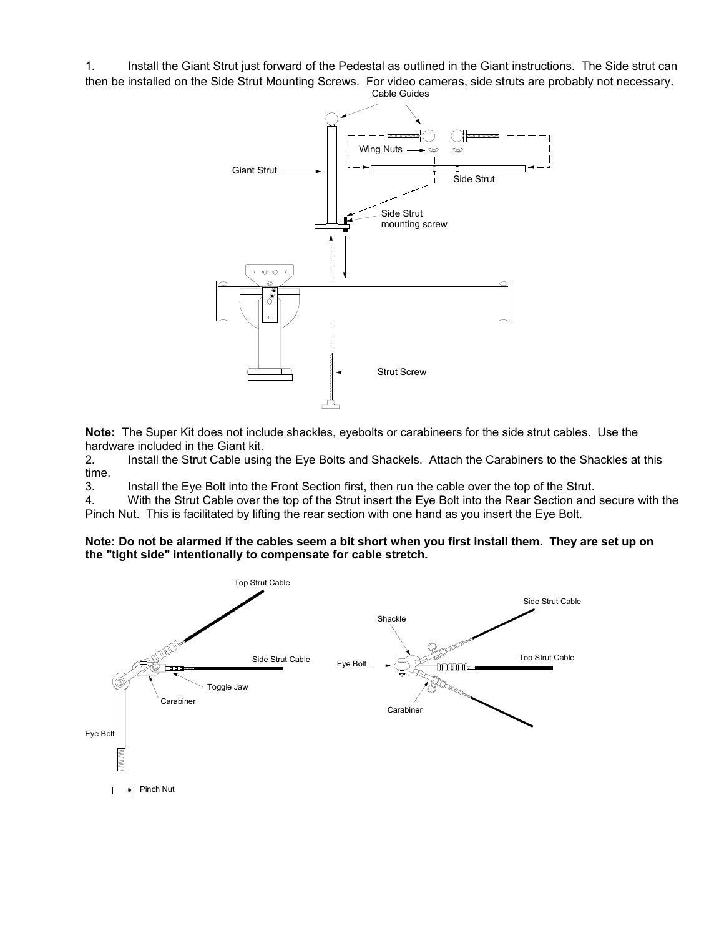1. Install the Giant Strut just forward of the Pedestal as outlined in the Giant instructions. The Side strut can then be installed on the Side Strut Mounting Screws. For video cameras, side struts are probably not necessary.



**Note:** The Super Kit does not include shackles, eyebolts or carabineers for the side strut cables. Use the hardware included in the Giant kit.

2. Install the Strut Cable using the Eye Bolts and Shackels. Attach the Carabiners to the Shackles at this time.

3. Install the Eye Bolt into the Front Section first, then run the cable over the top of the Strut.

4. With the Strut Cable over the top of the Strut insert the Eye Bolt into the Rear Section and secure with the Pinch Nut. This is facilitated by lifting the rear section with one hand as you insert the Eye Bolt.

**Note: Do not be alarmed if the cables seem a bit short when you first install them. They are set up on the "tight side" intentionally to compensate for cable stretch.**